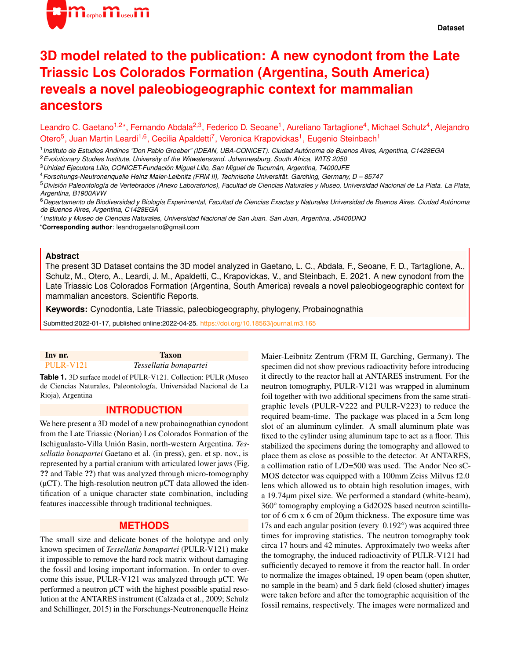

# **3D model related to the publication: A new cynodont from the Late Triassic Los Colorados Formation (Argentina, South America) reveals a novel paleobiogeographic context for mammalian ancestors**

Leandro C. Gaetano<sup>1,2\*</sup>, Fernando Abdala<sup>2,3</sup>, Federico D. Seoane<sup>1</sup>, Aureliano Tartaglione<sup>4</sup>, Michael Schulz<sup>4</sup>, Alejandro Otero<sup>5</sup>, Juan Martin Leardi<sup>1,6</sup>, Cecilia Apaldetti<sup>7</sup>, Veronica Krapovickas<sup>1</sup>, Eugenio Steinbach<sup>1</sup>

1 *Instituto de Estudios Andinos "Don Pablo Groeber" (IDEAN, UBA-CONICET). Ciudad Autonoma de Buenos Aires, Argentina, C1428EGA ´* <sup>2</sup>*Evolutionary Studies Institute, University of the Witwatersrand. Johannesburg, South Africa, WITS 2050*

<sup>3</sup>*Unidad Ejecutora Lillo, CONICET-Fundacion Miguel Lillo, San Miguel de Tucum ´ an, Argentina, T4000JFE ´*

<sup>4</sup>*Forschungs-Neutronenquelle Heinz Maier-Leibnitz (FRM II), Technische Universitat. Garching, Germany, D – 85747 ¨*

<sup>5</sup> División Paleontología de Vertebrados (Anexo Laboratorios), Facultad de Ciencias Naturales y Museo, Universidad Nacional de La Plata. La Plata, *Argentina, B1900AVW*

<sup>6</sup>*Departamento de Biodiversidad y Biolog´ıa Experimental, Facultad de Ciencias Exactas y Naturales Universidad de Buenos Aires. Ciudad Autonoma ´ de Buenos Aires, Argentina, C1428EGA*

7 *Instituto y Museo de Ciencias Naturales, Universidad Nacional de San Juan. San Juan, Argentina, J5400DNQ*

\***Corresponding author**: leandrogaetano@gmail.com

#### **Abstract**

The present 3D Dataset contains the 3D model analyzed in Gaetano, L. C., Abdala, F., Seoane, F. D., Tartaglione, A., Schulz, M., Otero, A., Leardi, J. M., Apaldetti, C., Krapovickas, V., and Steinbach, E. 2021. A new cynodont from the Late Triassic Los Colorados Formation (Argentina, South America) reveals a novel paleobiogeographic context for mammalian ancestors. Scientific Reports.

**Keywords:** Cynodontia, Late Triassic, paleobiogeography, phylogeny, Probainognathia

Submitted:2022-01-17, published online:2022-04-25. <https://doi.org/10.18563/journal.m3.165>

#### Inv nr. Taxon [PULR-V121](https://doi.org/10.18563/m3.sf.960) *Tessellatia bonapartei*

**Table 1.** 3D surface model of PULR-V121. Collection: PULR (Museo de Ciencias Naturales, Paleontología, Universidad Nacional de La Rioja), Argentina

### **INTRODUCTION**

We here present a 3D model of a new probainognathian cynodont from the Late Triassic (Norian) Los Colorados Formation of the Ischigualasto-Villa Unión Basin, north-western Argentina. Tes*sellatia bonapartei* Gaetano et al. (in press), gen. et sp. nov., is represented by a partial cranium with articulated lower jaws (Fig. ?? and Table ??) that was analyzed through micro-tomography  $(\mu$ CT). The high-resolution neutron  $\mu$ CT data allowed the identification of a unique character state combination, including features inaccessible through traditional techniques.

## **METHODS**

The small size and delicate bones of the holotype and only known specimen of *Tessellatia bonapartei* (PULR-V121) make it impossible to remove the hard rock matrix without damaging the fossil and losing important information. In order to overcome this issue, PULR-V121 was analyzed through µCT. We performed a neutron µCT with the highest possible spatial resolution at the ANTARES instrument (Calzada et al., 2009; Schulz and Schillinger, 2015) in the Forschungs-Neutronenquelle Heinz

Maier-Leibnitz Zentrum (FRM II, Garching, Germany). The specimen did not show previous radioactivity before introducing it directly to the reactor hall at ANTARES instrument. For the neutron tomography, PULR-V121 was wrapped in aluminum foil together with two additional specimens from the same stratigraphic levels (PULR-V222 and PULR-V223) to reduce the required beam-time. The package was placed in a 5cm long slot of an aluminum cylinder. A small aluminum plate was fixed to the cylinder using aluminum tape to act as a floor. This stabilized the specimens during the tomography and allowed to place them as close as possible to the detector. At ANTARES, a collimation ratio of L/D=500 was used. The Andor Neo sC-MOS detector was equipped with a 100mm Zeiss Milvus f2.0 lens which allowed us to obtain high resolution images, with a 19.74µm pixel size. We performed a standard (white-beam), 360° tomography employing a Gd2O2S based neutron scintillator of 6 cm x 6 cm of 20µm thickness. The exposure time was 17s and each angular position (every 0.192°) was acquired three times for improving statistics. The neutron tomography took circa 17 hours and 42 minutes. Approximately two weeks after the tomography, the induced radioactivity of PULR-V121 had sufficiently decayed to remove it from the reactor hall. In order to normalize the images obtained, 19 open beam (open shutter, no sample in the beam) and 5 dark field (closed shutter) images were taken before and after the tomographic acquisition of the fossil remains, respectively. The images were normalized and